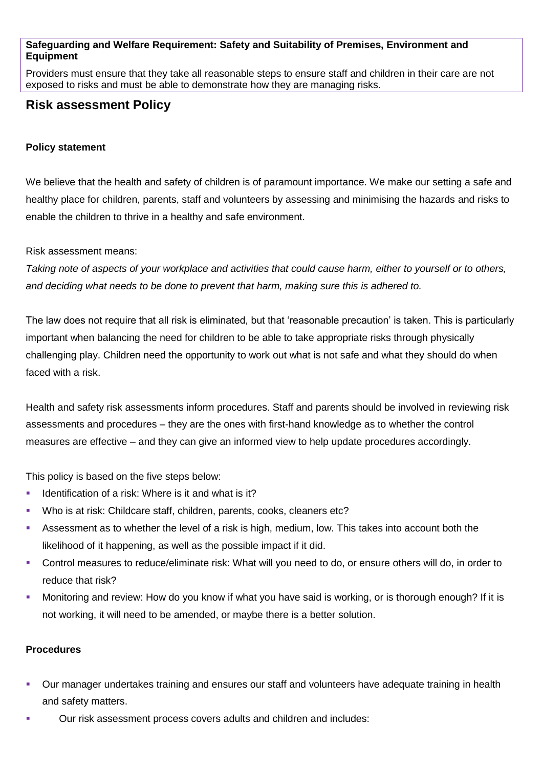## **Safeguarding and Welfare Requirement: Safety and Suitability of Premises, Environment and Equipment**

Providers must ensure that they take all reasonable steps to ensure staff and children in their care are not exposed to risks and must be able to demonstrate how they are managing risks.

# **Risk assessment Policy**

## **Policy statement**

We believe that the health and safety of children is of paramount importance. We make our setting a safe and healthy place for children, parents, staff and volunteers by assessing and minimising the hazards and risks to enable the children to thrive in a healthy and safe environment.

### Risk assessment means:

*Taking note of aspects of your workplace and activities that could cause harm, either to yourself or to others, and deciding what needs to be done to prevent that harm, making sure this is adhered to.*

The law does not require that all risk is eliminated, but that 'reasonable precaution' is taken. This is particularly important when balancing the need for children to be able to take appropriate risks through physically challenging play. Children need the opportunity to work out what is not safe and what they should do when faced with a risk.

Health and safety risk assessments inform procedures. Staff and parents should be involved in reviewing risk assessments and procedures – they are the ones with first-hand knowledge as to whether the control measures are effective – and they can give an informed view to help update procedures accordingly.

This policy is based on the five steps below:

- Identification of a risk: Where is it and what is it?
- Who is at risk: Childcare staff, children, parents, cooks, cleaners etc?
- Assessment as to whether the level of a risk is high, medium, low. This takes into account both the likelihood of it happening, as well as the possible impact if it did.
- Control measures to reduce/eliminate risk: What will you need to do, or ensure others will do, in order to reduce that risk?
- Monitoring and review: How do you know if what you have said is working, or is thorough enough? If it is not working, it will need to be amended, or maybe there is a better solution.

### **Procedures**

- Our manager undertakes training and ensures our staff and volunteers have adequate training in health and safety matters.
- Our risk assessment process covers adults and children and includes: